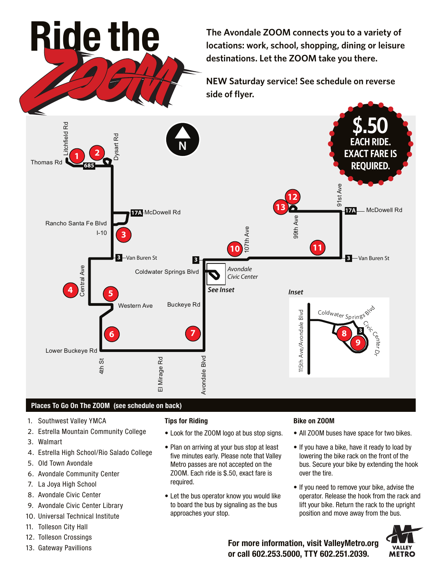**The Avondale ZOOM connects you to a variety of locations: work, school, shopping, dining or leisure destinations. Let the ZOOM take you there.**

**NEW Saturday service! See schedule on reverse side of flyer.**



## **Places To Go On The ZOOM (see schedule on back)**

**Ride the**

- 1. Southwest Valley YMCA
- 2. Estrella Mountain Community College
- 3. Walmart
- 4. Estrella High School/Rio Salado College
- 5. Old Town Avondale
- 6. Avondale Community Center
- 7. La Joya High School
- 8. Avondale Civic Center
- 9. Avondale Civic Center Library
- 10. Universal Technical Institute
- 11. Tolleson City Hall
- 12. Tolleson Crossings
- 13. Gateway Pavillions

## **Tips for Riding**

- Look for the ZOOM logo at bus stop signs.
- Plan on arriving at your bus stop at least five minutes early. Please note that Valley Metro passes are not accepted on the ZOOM. Each ride is \$.50, exact fare is required.
- Let the bus operator know you would like to board the bus by signaling as the bus approaches your stop.

## **Bike on ZOOM**

- All ZOOM buses have space for two bikes.
- If you have a bike, have it ready to load by lowering the bike rack on the front of the bus. Secure your bike by extending the hook over the tire.
- If you need to remove your bike, advise the operator. Release the hook from the rack and lift your bike. Return the rack to the upright position and move away from the bus.



**For more information, visit ValleyMetro.org or call 602.253.5000, TTY 602.251.2039.**